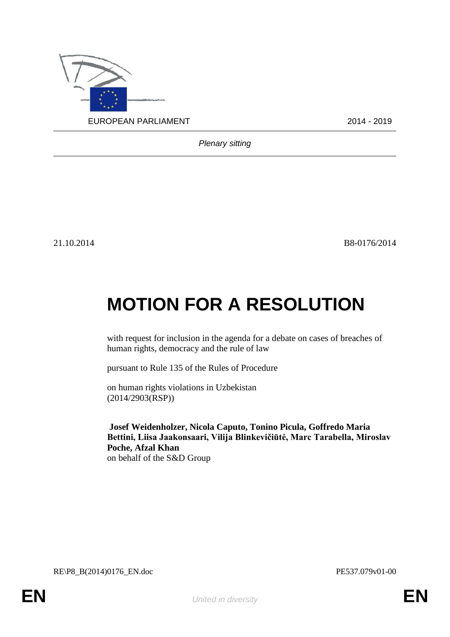

*Plenary sitting*

21.10.2014 B8-0176/2014

## **MOTION FOR A RESOLUTION**

with request for inclusion in the agenda for a debate on cases of breaches of human rights, democracy and the rule of law

pursuant to Rule 135 of the Rules of Procedure

on human rights violations in Uzbekistan (2014/2903(RSP))

**Josef Weidenholzer, Nicola Caputo, Tonino Picula, Goffredo Maria Bettini, Liisa Jaakonsaari, Vilija Blinkevičiūtė, Marc Tarabella, Miroslav Poche, Afzal Khan** on behalf of the S&D Group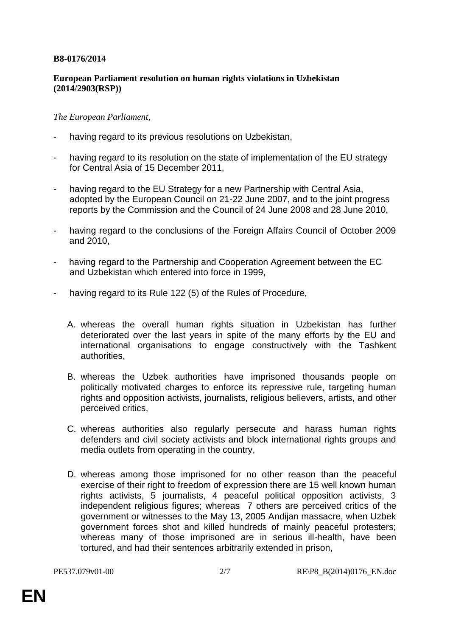## **B8-0176/2014**

## **European Parliament resolution on human rights violations in Uzbekistan (2014/2903(RSP))**

## *The European Parliament*,

- having regard to its previous resolutions on Uzbekistan,
- having regard to its resolution on the state of implementation of the EU strategy for Central Asia of 15 December 2011,
- having regard to the EU Strategy for a new Partnership with Central Asia, adopted by the European Council on 21-22 June 2007, and to the joint progress reports by the Commission and the Council of 24 June 2008 and 28 June 2010,
- having regard to the conclusions of the Foreign Affairs Council of October 2009 and 2010,
- having regard to the Partnership and Cooperation Agreement between the EC and Uzbekistan which entered into force in 1999,
- having regard to its Rule 122 (5) of the Rules of Procedure,
	- A. whereas the overall human rights situation in Uzbekistan has further deteriorated over the last years in spite of the many efforts by the EU and international organisations to engage constructively with the Tashkent authorities,
	- B. whereas the Uzbek authorities have imprisoned thousands people on politically motivated charges to enforce its repressive rule, targeting human rights and opposition activists, journalists, religious believers, artists, and other perceived critics,
	- C. whereas authorities also regularly persecute and harass human rights defenders and civil society activists and block international rights groups and media outlets from operating in the country,
	- D. whereas among those imprisoned for no other reason than the peaceful exercise of their right to freedom of expression there are 15 well known human rights activists, 5 journalists, 4 peaceful political opposition activists, 3 independent religious figures; whereas 7 others are perceived critics of the government or witnesses to the May 13, 2005 Andijan massacre, when Uzbek government forces shot and killed hundreds of mainly peaceful protesters; whereas many of those imprisoned are in serious ill-health, have been tortured, and had their sentences arbitrarily extended in prison,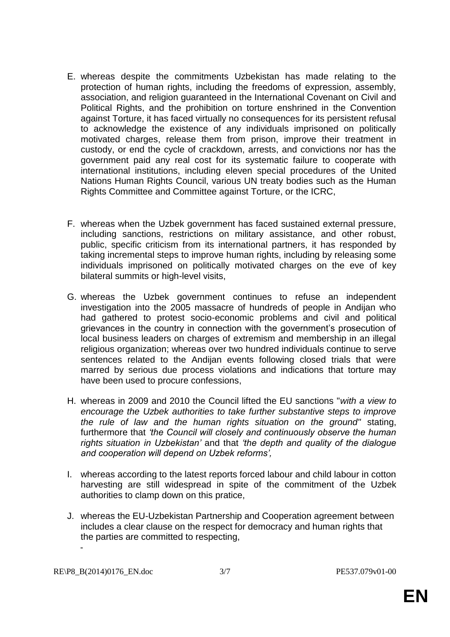- E. whereas despite the commitments Uzbekistan has made relating to the protection of human rights, including the freedoms of expression, assembly, association, and religion guaranteed in the International Covenant on Civil and Political Rights, and the prohibition on torture enshrined in the Convention against Torture, it has faced virtually no consequences for its persistent refusal to acknowledge the existence of any individuals imprisoned on politically motivated charges, release them from prison, improve their treatment in custody, or end the cycle of crackdown, arrests, and convictions nor has the government paid any real cost for its systematic failure to cooperate with international institutions, including eleven special procedures of the United Nations Human Rights Council, various UN treaty bodies such as the Human Rights Committee and Committee against Torture, or the ICRC,
- F. whereas when the Uzbek government has faced sustained external pressure, including sanctions, restrictions on military assistance, and other robust, public, specific criticism from its international partners, it has responded by taking incremental steps to improve human rights, including by releasing some individuals imprisoned on politically motivated charges on the eve of key bilateral summits or high-level visits,
- G. whereas the Uzbek government continues to refuse an independent investigation into the 2005 massacre of hundreds of people in Andijan who had gathered to protest socio-economic problems and civil and political grievances in the country in connection with the government's prosecution of local business leaders on charges of extremism and membership in an illegal religious organization; whereas over two hundred individuals continue to serve sentences related to the Andijan events following closed trials that were marred by serious due process violations and indications that torture may have been used to procure confessions,
- H. whereas in 2009 and 2010 the Council lifted the EU sanctions "*with a view to encourage the Uzbek authorities to take further substantive steps to improve the rule of law and the human rights situation on the ground"* stating, furthermore that *'the Council will closely and continuously observe the human rights situation in Uzbekistan'* and that *'the depth and quality of the dialogue and cooperation will depend on Uzbek reforms',*
- I. whereas according to the latest reports forced labour and child labour in cotton harvesting are still widespread in spite of the commitment of the Uzbek authorities to clamp down on this pratice,
- J. whereas the EU-Uzbekistan Partnership and Cooperation agreement between includes a clear clause on the respect for democracy and human rights that the parties are committed to respecting, -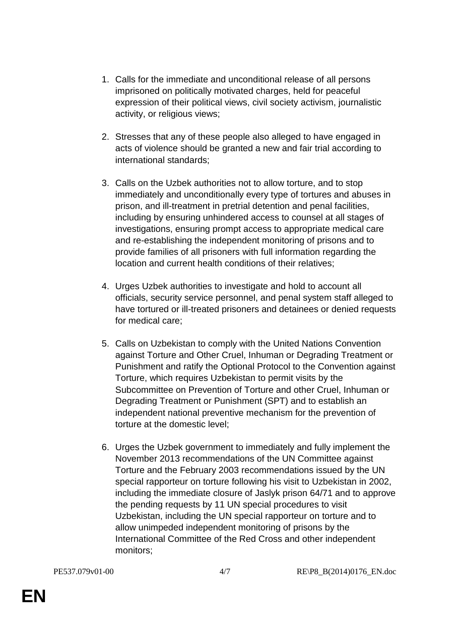- 1. Calls for the immediate and unconditional release of all persons imprisoned on politically motivated charges, held for peaceful expression of their political views, civil society activism, journalistic activity, or religious views;
- 2. Stresses that any of these people also alleged to have engaged in acts of violence should be granted a new and fair trial according to international standards;
- 3. Calls on the Uzbek authorities not to allow torture, and to stop immediately and unconditionally every type of tortures and abuses in prison, and ill-treatment in pretrial detention and penal facilities, including by ensuring unhindered access to counsel at all stages of investigations, ensuring prompt access to appropriate medical care and re-establishing the independent monitoring of prisons and to provide families of all prisoners with full information regarding the location and current health conditions of their relatives;
- 4. Urges Uzbek authorities to investigate and hold to account all officials, security service personnel, and penal system staff alleged to have tortured or ill-treated prisoners and detainees or denied requests for medical care;
- 5. Calls on Uzbekistan to comply with the United Nations Convention against Torture and Other Cruel, Inhuman or Degrading Treatment or Punishment and ratify the Optional Protocol to the Convention against Torture, which requires Uzbekistan to permit visits by the Subcommittee on Prevention of Torture and other Cruel, Inhuman or Degrading Treatment or Punishment (SPT) and to establish an independent national preventive mechanism for the prevention of torture at the domestic level;
- 6. Urges the Uzbek government to immediately and fully implement the November 2013 recommendations of the UN Committee against Torture and the February 2003 recommendations issued by the UN special rapporteur on torture following his visit to Uzbekistan in 2002, including the immediate closure of Jaslyk prison 64/71 and to approve the pending requests by 11 UN special procedures to visit Uzbekistan, including the UN special rapporteur on torture and to allow unimpeded independent monitoring of prisons by the International Committee of the Red Cross and other independent monitors;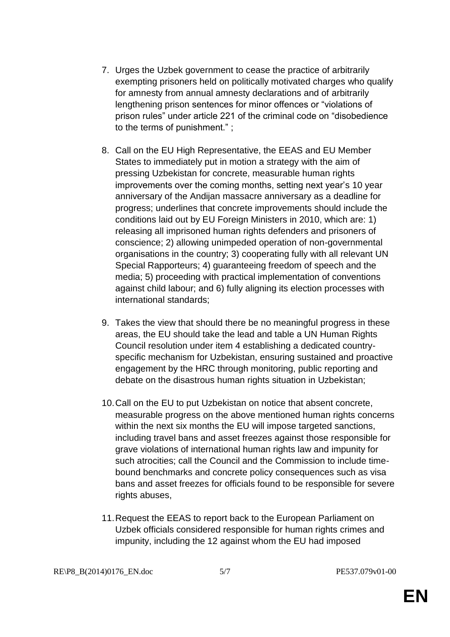- 7. Urges the Uzbek government to cease the practice of arbitrarily exempting prisoners held on politically motivated charges who qualify for amnesty from annual amnesty declarations and of arbitrarily lengthening prison sentences for minor offences or "violations of prison rules" under article 221 of the criminal code on "disobedience to the terms of punishment." ;
- 8. Call on the EU High Representative, the EEAS and EU Member States to immediately put in motion a strategy with the aim of pressing Uzbekistan for concrete, measurable human rights improvements over the coming months, setting next year's 10 year anniversary of the Andijan massacre anniversary as a deadline for progress; underlines that concrete improvements should include the conditions laid out by EU Foreign Ministers in 2010, which are: 1) releasing all imprisoned human rights defenders and prisoners of conscience; 2) allowing unimpeded operation of non-governmental organisations in the country; 3) cooperating fully with all relevant UN Special Rapporteurs; 4) guaranteeing freedom of speech and the media; 5) proceeding with practical implementation of conventions against child labour; and 6) fully aligning its election processes with international standards;
- 9. Takes the view that should there be no meaningful progress in these areas, the EU should take the lead and table a UN Human Rights Council resolution under item 4 establishing a dedicated countryspecific mechanism for Uzbekistan, ensuring sustained and proactive engagement by the HRC through monitoring, public reporting and debate on the disastrous human rights situation in Uzbekistan;
- 10.Call on the EU to put Uzbekistan on notice that absent concrete, measurable progress on the above mentioned human rights concerns within the next six months the EU will impose targeted sanctions, including travel bans and asset freezes against those responsible for grave violations of international human rights law and impunity for such atrocities; call the Council and the Commission to include timebound benchmarks and concrete policy consequences such as visa bans and asset freezes for officials found to be responsible for severe rights abuses.
- 11.Request the EEAS to report back to the European Parliament on Uzbek officials considered responsible for human rights crimes and impunity, including the 12 against whom the EU had imposed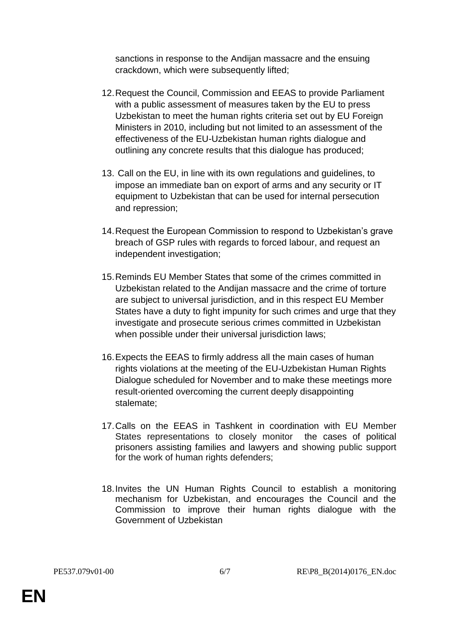sanctions in response to the Andijan massacre and the ensuing crackdown, which were subsequently lifted;

- 12.Request the Council, Commission and EEAS to provide Parliament with a public assessment of measures taken by the EU to press Uzbekistan to meet the human rights criteria set out by EU Foreign Ministers in 2010, including but not limited to an assessment of the effectiveness of the EU-Uzbekistan human rights dialogue and outlining any concrete results that this dialogue has produced;
- 13. Call on the EU, in line with its own regulations and guidelines, to impose an immediate ban on export of arms and any security or IT equipment to Uzbekistan that can be used for internal persecution and repression;
- 14.Request the European Commission to respond to Uzbekistan's grave breach of GSP rules with regards to forced labour, and request an independent investigation;
- 15.Reminds EU Member States that some of the crimes committed in Uzbekistan related to the Andijan massacre and the crime of torture are subject to universal jurisdiction, and in this respect EU Member States have a duty to fight impunity for such crimes and urge that they investigate and prosecute serious crimes committed in Uzbekistan when possible under their universal jurisdiction laws;
- 16.Expects the EEAS to firmly address all the main cases of human rights violations at the meeting of the EU-Uzbekistan Human Rights Dialogue scheduled for November and to make these meetings more result-oriented overcoming the current deeply disappointing stalemate;
- 17.Calls on the EEAS in Tashkent in coordination with EU Member States representations to closely monitor the cases of political prisoners assisting families and lawyers and showing public support for the work of human rights defenders;
- 18.Invites the UN Human Rights Council to establish a monitoring mechanism for Uzbekistan, and encourages the Council and the Commission to improve their human rights dialogue with the Government of Uzbekistan